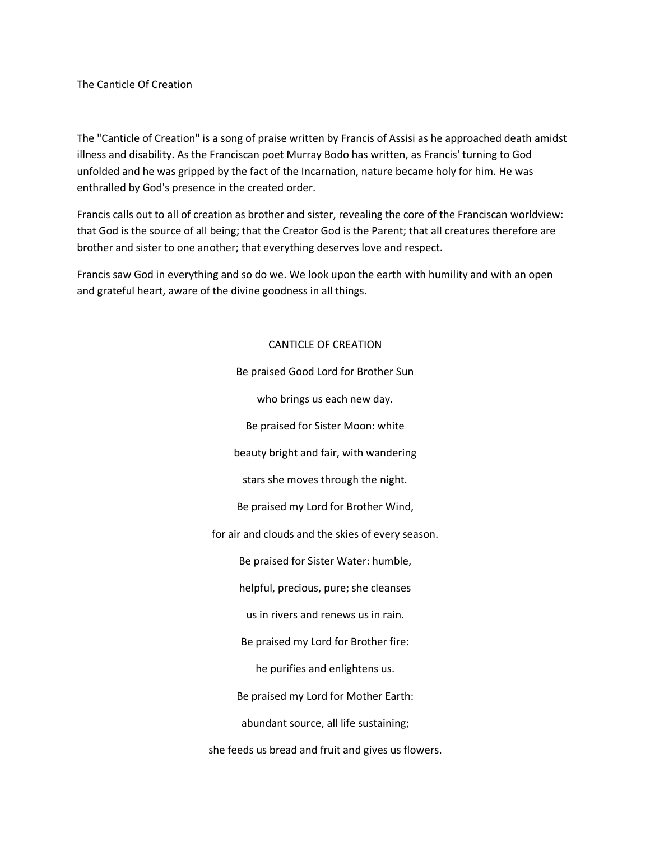The Canticle Of Creation

The "Canticle of Creation" is a song of praise written by Francis of Assisi as he approached death amidst illness and disability. As the Franciscan poet Murray Bodo has written, as Francis' turning to God unfolded and he was gripped by the fact of the Incarnation, nature became holy for him. He was enthralled by God's presence in the created order.

Francis calls out to all of creation as brother and sister, revealing the core of the Franciscan worldview: that God is the source of all being; that the Creator God is the Parent; that all creatures therefore are brother and sister to one another; that everything deserves love and respect.

Francis saw God in everything and so do we. We look upon the earth with humility and with an open and grateful heart, aware of the divine goodness in all things.

## CANTICLE OF CREATION

Be praised Good Lord for Brother Sun who brings us each new day. Be praised for Sister Moon: white beauty bright and fair, with wandering stars she moves through the night. Be praised my Lord for Brother Wind, for air and clouds and the skies of every season. Be praised for Sister Water: humble, helpful, precious, pure; she cleanses us in rivers and renews us in rain. Be praised my Lord for Brother fire: he purifies and enlightens us. Be praised my Lord for Mother Earth: abundant source, all life sustaining; she feeds us bread and fruit and gives us flowers.